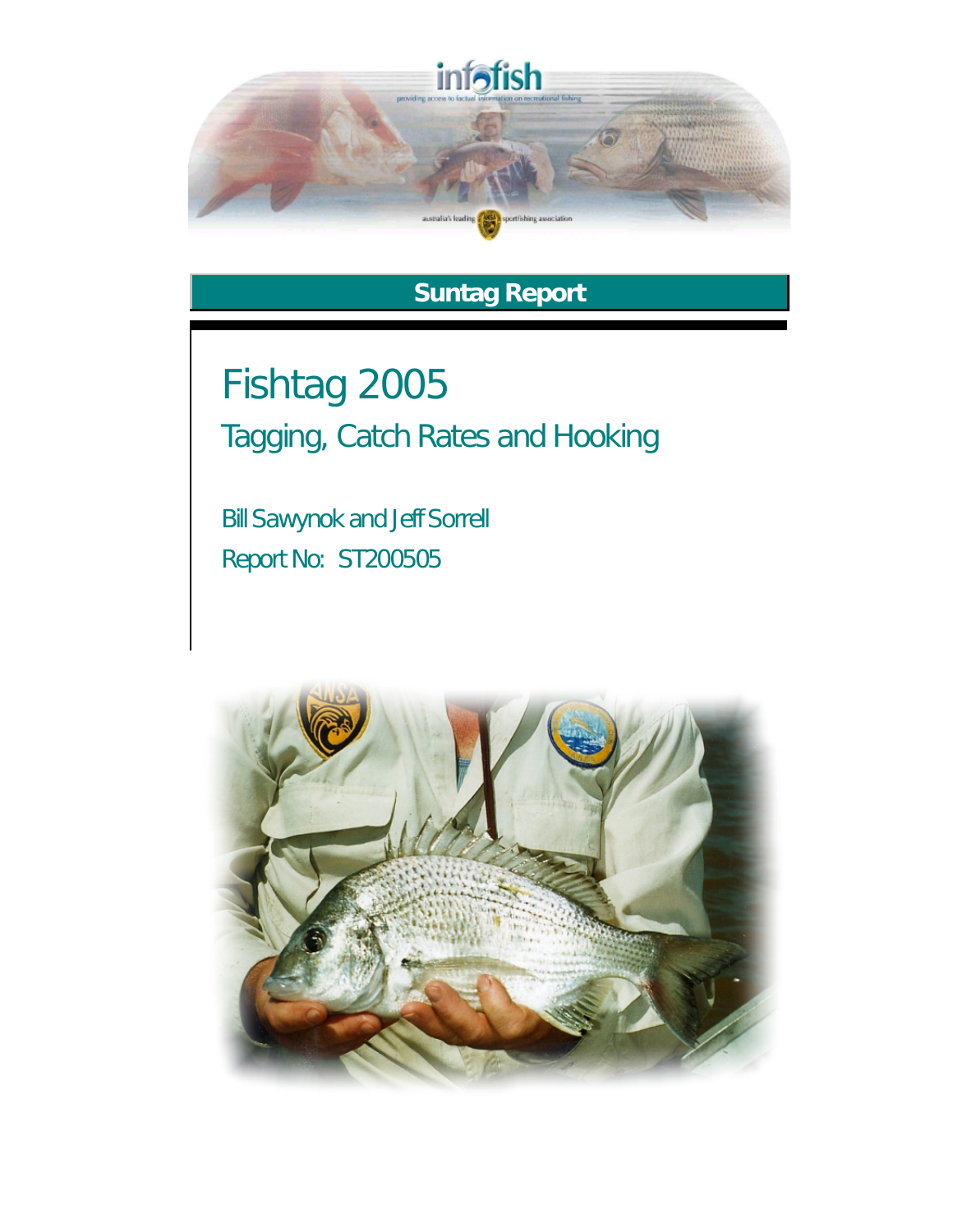

## **Suntag Report**

Fishtag 2005 Tagging, Catch Rates and Hooking

Bill Sawynok and Jeff Sorrell Report No: ST200505

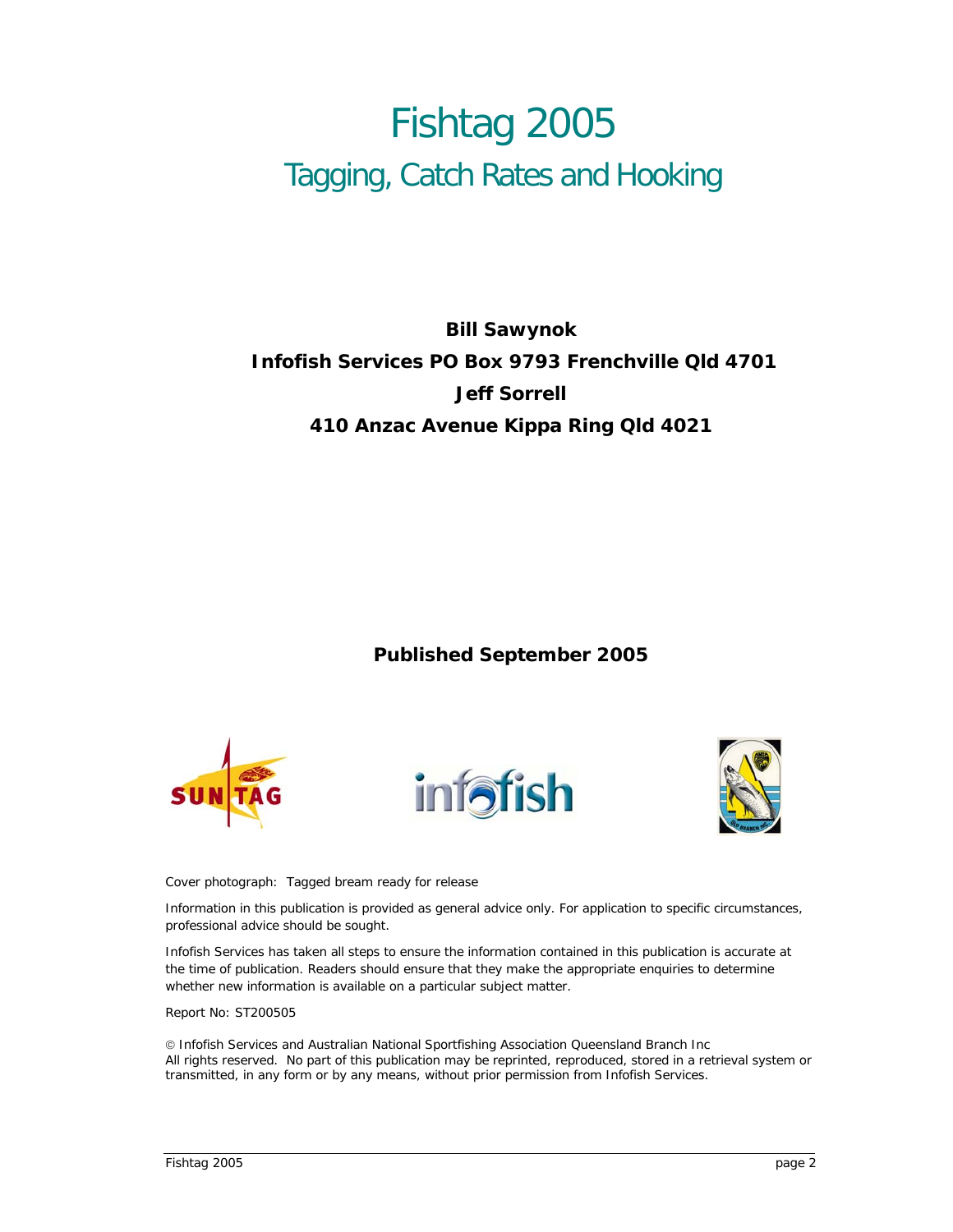# Fishtag 2005 Tagging, Catch Rates and Hooking

### **Bill Sawynok Infofish Services PO Box 9793 Frenchville Qld 4701 Jeff Sorrell 410 Anzac Avenue Kippa Ring Qld 4021**

#### **Published September 2005**







Cover photograph: Tagged bream ready for release

Information in this publication is provided as general advice only. For application to specific circumstances, professional advice should be sought.

Infofish Services has taken all steps to ensure the information contained in this publication is accurate at the time of publication. Readers should ensure that they make the appropriate enquiries to determine whether new information is available on a particular subject matter.

Report No: ST200505

© Infofish Services and Australian National Sportfishing Association Queensland Branch Inc All rights reserved. No part of this publication may be reprinted, reproduced, stored in a retrieval system or transmitted, in any form or by any means, without prior permission from Infofish Services.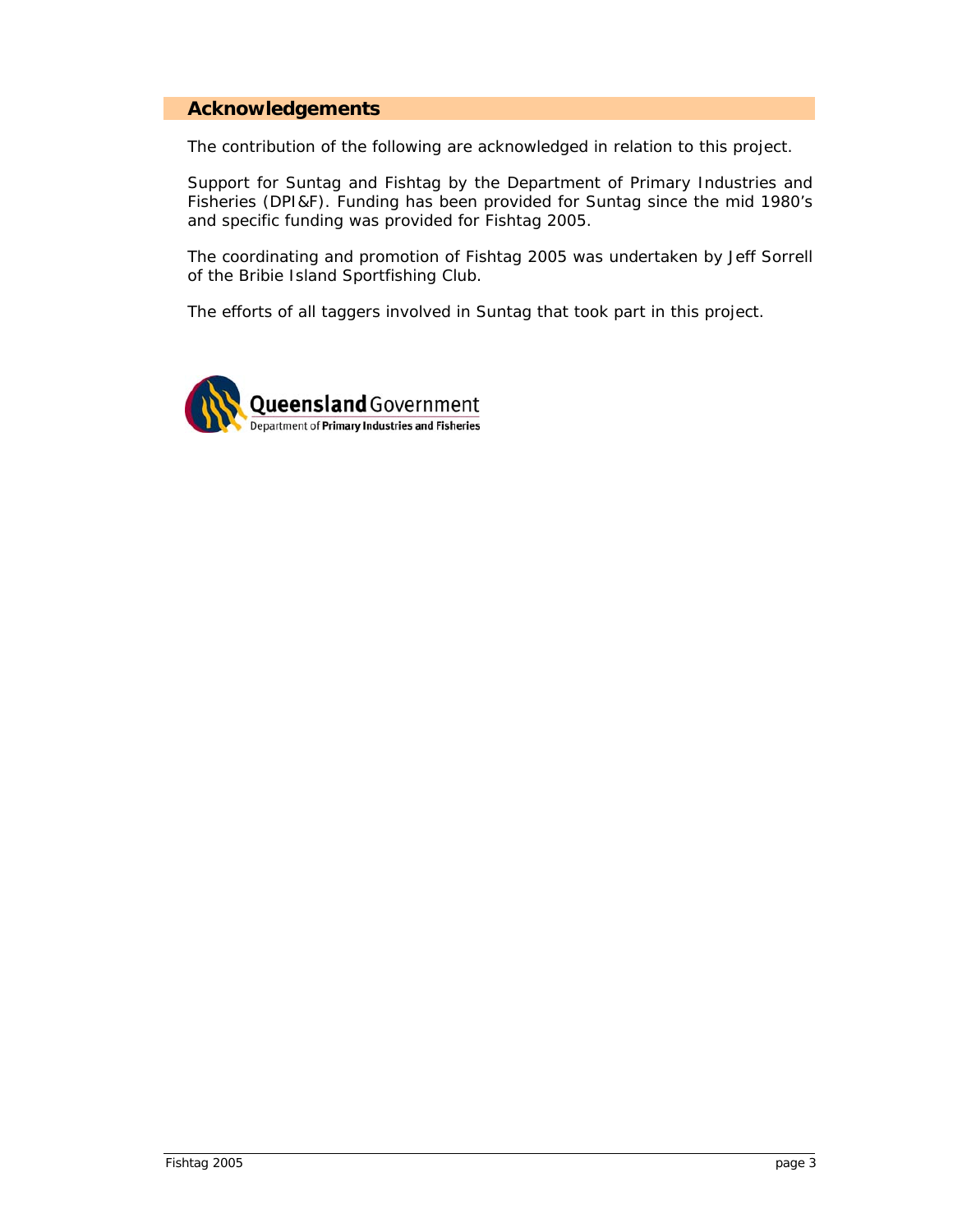#### <span id="page-2-0"></span>**Acknowledgements**

The contribution of the following are acknowledged in relation to this project.

Support for Suntag and Fishtag by the Department of Primary Industries and Fisheries (DPI&F). Funding has been provided for Suntag since the mid 1980's and specific funding was provided for Fishtag 2005.

The coordinating and promotion of Fishtag 2005 was undertaken by Jeff Sorrell of the Bribie Island Sportfishing Club.

The efforts of all taggers involved in Suntag that took part in this project.

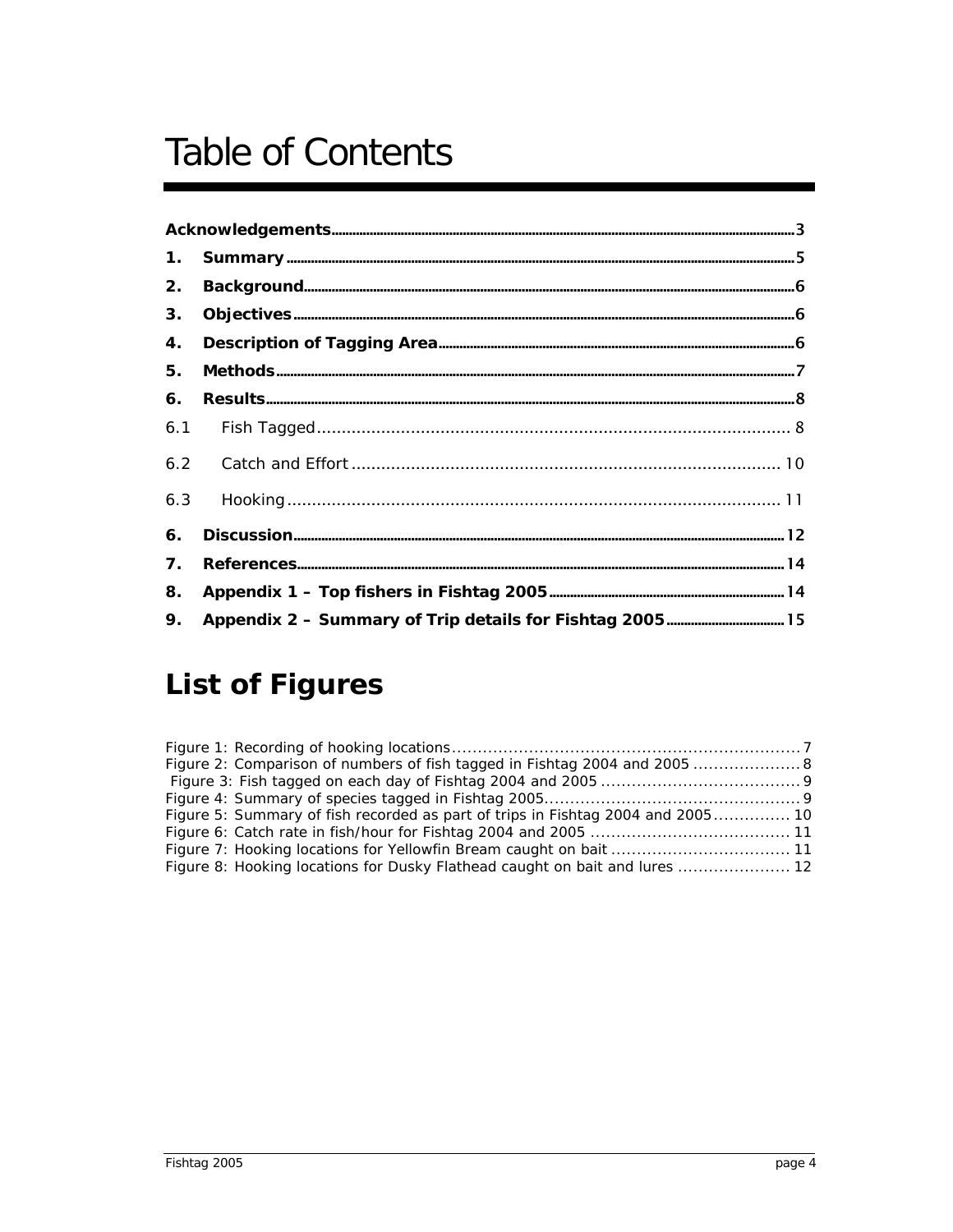# **Table of Contents**

| 2. |  |
|----|--|
| 3. |  |
| 4. |  |
|    |  |
| 6. |  |
|    |  |
|    |  |
|    |  |
| 6. |  |
| 7. |  |
| 8. |  |
| 9. |  |

## **List of Figures**

| Figure 2: Comparison of numbers of fish tagged in Fishtag 2004 and 2005  8      |  |
|---------------------------------------------------------------------------------|--|
|                                                                                 |  |
|                                                                                 |  |
| Figure 5: Summary of fish recorded as part of trips in Fishtag 2004 and 2005 10 |  |
|                                                                                 |  |
|                                                                                 |  |
| Figure 8: Hooking locations for Dusky Flathead caught on bait and lures  12     |  |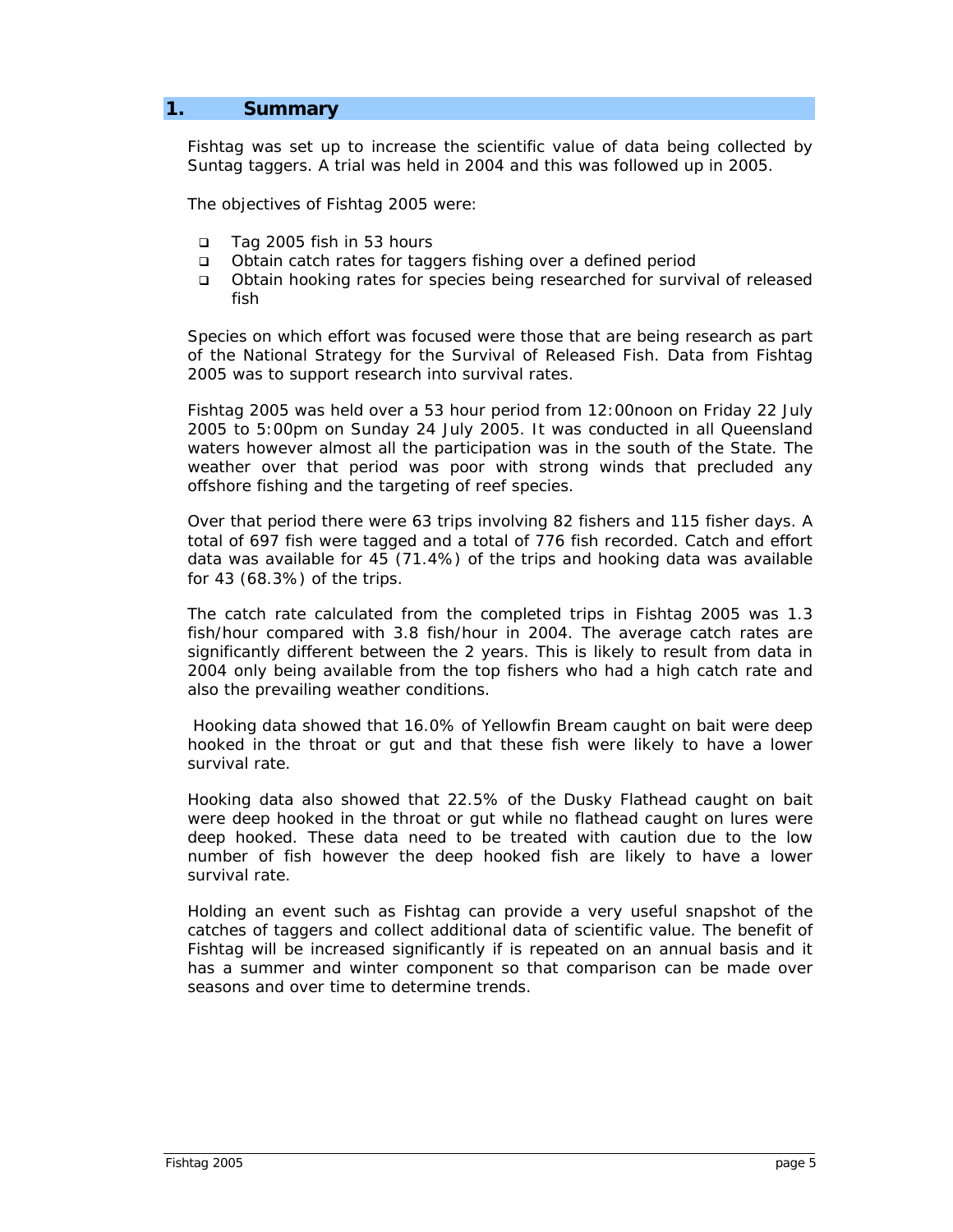#### <span id="page-4-0"></span>**1. Summary**

Fishtag was set up to increase the scientific value of data being collected by Suntag taggers. A trial was held in 2004 and this was followed up in 2005.

The objectives of Fishtag 2005 were:

- Tag 2005 fish in 53 hours
- Obtain catch rates for taggers fishing over a defined period
- Obtain hooking rates for species being researched for survival of released fish

Species on which effort was focused were those that are being research as part of the National Strategy for the Survival of Released Fish. Data from Fishtag 2005 was to support research into survival rates.

Fishtag 2005 was held over a 53 hour period from 12:00noon on Friday 22 July 2005 to 5:00pm on Sunday 24 July 2005. It was conducted in all Queensland waters however almost all the participation was in the south of the State. The weather over that period was poor with strong winds that precluded any offshore fishing and the targeting of reef species.

Over that period there were 63 trips involving 82 fishers and 115 fisher days. A total of 697 fish were tagged and a total of 776 fish recorded. Catch and effort data was available for 45 (71.4%) of the trips and hooking data was available for 43 (68.3%) of the trips.

The catch rate calculated from the completed trips in Fishtag 2005 was 1.3 fish/hour compared with 3.8 fish/hour in 2004. The average catch rates are significantly different between the 2 years. This is likely to result from data in 2004 only being available from the top fishers who had a high catch rate and also the prevailing weather conditions.

 Hooking data showed that 16.0% of Yellowfin Bream caught on bait were deep hooked in the throat or gut and that these fish were likely to have a lower survival rate.

Hooking data also showed that 22.5% of the Dusky Flathead caught on bait were deep hooked in the throat or gut while no flathead caught on lures were deep hooked. These data need to be treated with caution due to the low number of fish however the deep hooked fish are likely to have a lower survival rate.

Holding an event such as Fishtag can provide a very useful snapshot of the catches of taggers and collect additional data of scientific value. The benefit of Fishtag will be increased significantly if is repeated on an annual basis and it has a summer and winter component so that comparison can be made over seasons and over time to determine trends.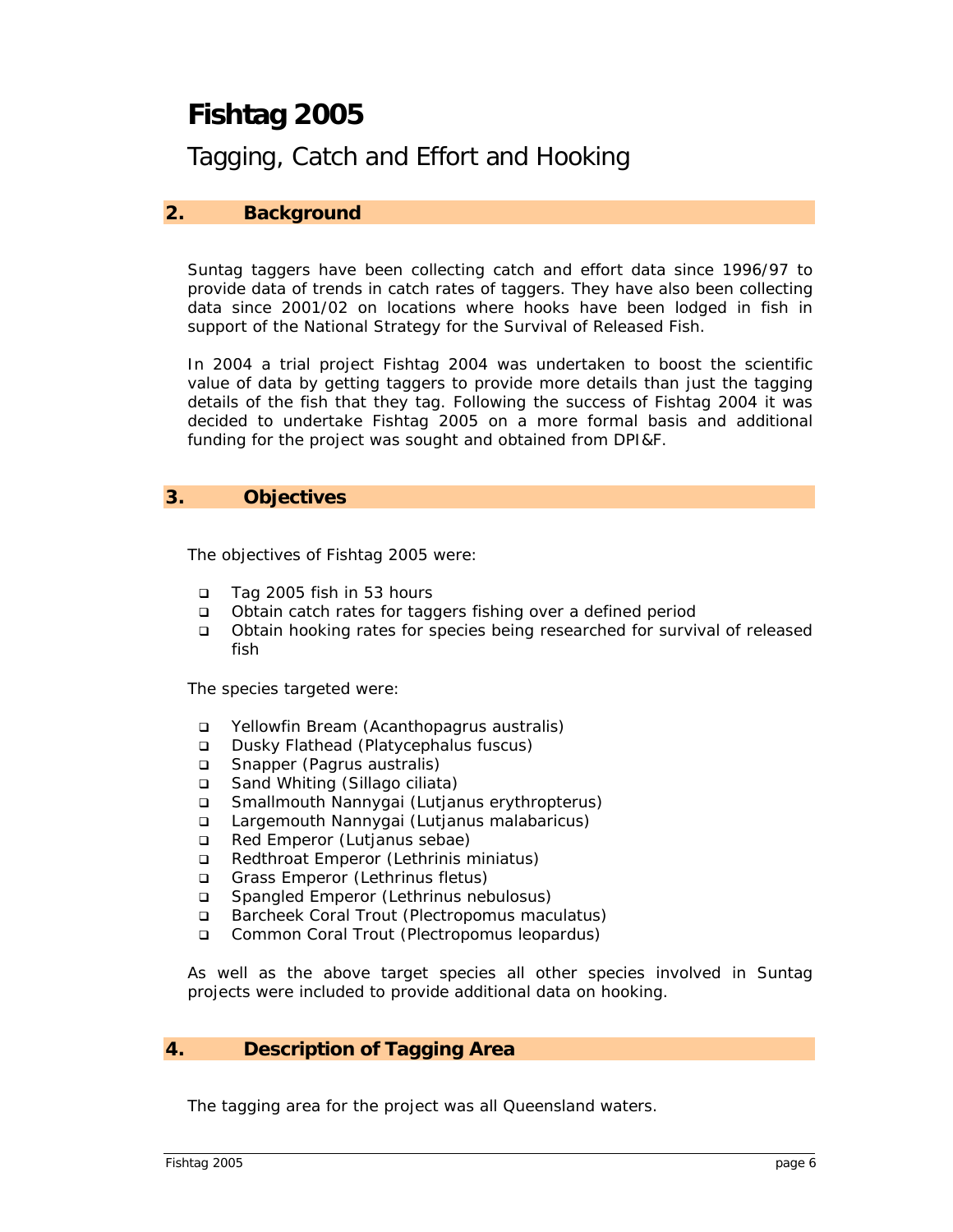## <span id="page-5-0"></span>**Fishtag 2005**

Tagging, Catch and Effort and Hooking

#### **2. Background**

Suntag taggers have been collecting catch and effort data since 1996/97 to provide data of trends in catch rates of taggers. They have also been collecting data since 2001/02 on locations where hooks have been lodged in fish in support of the National Strategy for the Survival of Released Fish.

In 2004 a trial project Fishtag 2004 was undertaken to boost the scientific value of data by getting taggers to provide more details than just the tagging details of the fish that they tag. Following the success of Fishtag 2004 it was decided to undertake Fishtag 2005 on a more formal basis and additional funding for the project was sought and obtained from DPI&F.

#### **3. Objectives**

The objectives of Fishtag 2005 were:

- Tag 2005 fish in 53 hours
- Obtain catch rates for taggers fishing over a defined period
- Obtain hooking rates for species being researched for survival of released fish

The species targeted were:

- Yellowfin Bream (*Acanthopagrus australis*)
- Dusky Flathead (*Platycephalus fuscus*)
- Snapper (*Pagrus australis*)
- Sand Whiting (*Sillago ciliata*)
- Smallmouth Nannygai (*Lutjanus erythropterus*)
- Largemouth Nannygai (*Lutjanus malabaricus*)
- Red Emperor (*Lutjanus sebae*)
- Redthroat Emperor (*Lethrinis miniatus*)
- Grass Emperor (*Lethrinus fletus*)
- Spangled Emperor (*Lethrinus nebulosus*)
- Barcheek Coral Trout (*Plectropomus maculatus*)
- Common Coral Trout (*Plectropomus leopardus*)

As well as the above target species all other species involved in Suntag projects were included to provide additional data on hooking.

#### **4. Description of Tagging Area**

The tagging area for the project was all Queensland waters.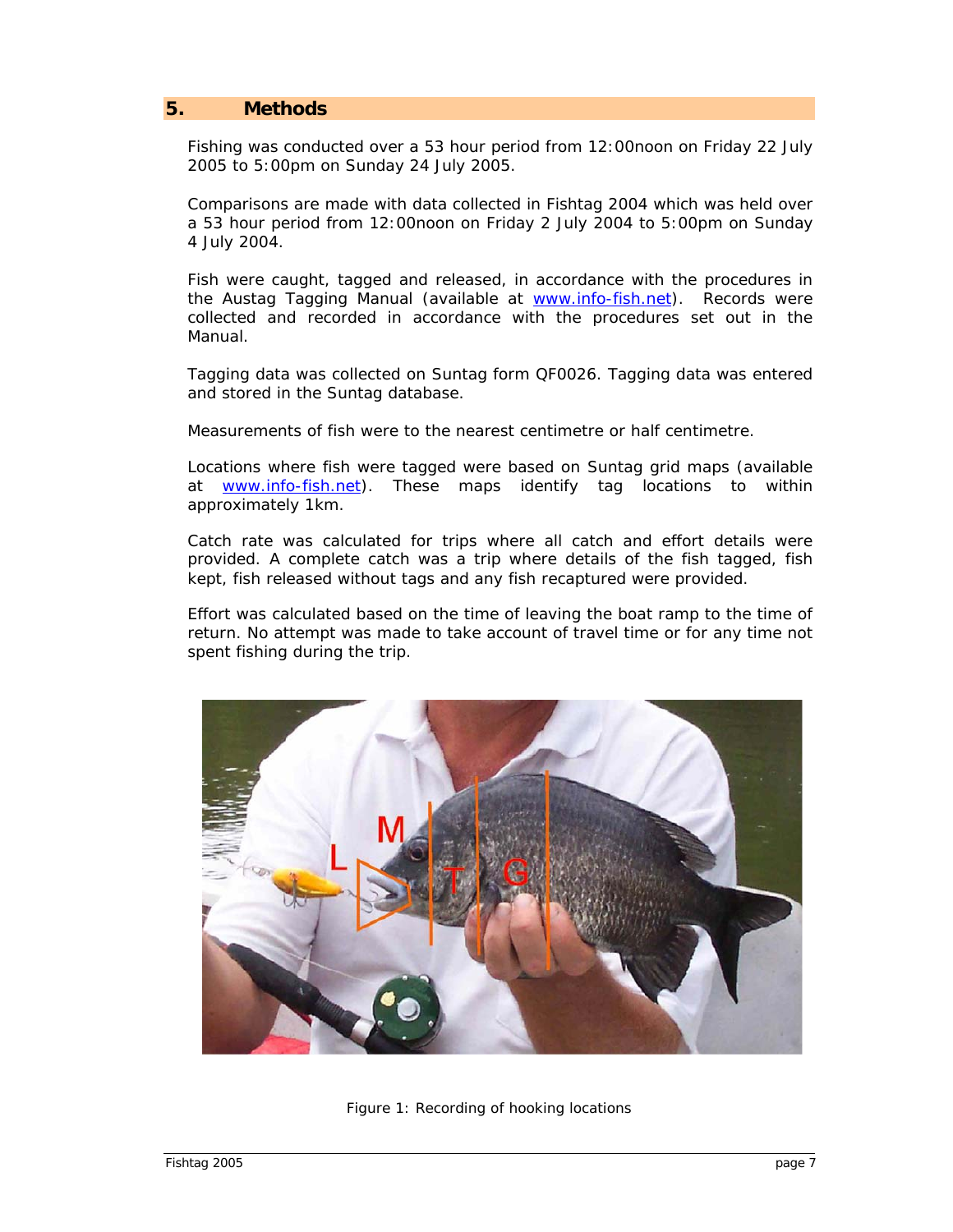#### <span id="page-6-0"></span>**5. Methods**

Fishing was conducted over a 53 hour period from 12:00noon on Friday 22 July 2005 to 5:00pm on Sunday 24 July 2005.

Comparisons are made with data collected in Fishtag 2004 which was held over a 53 hour period from 12:00noon on Friday 2 July 2004 to 5:00pm on Sunday 4 July 2004.

Fish were caught, tagged and released, in accordance with the procedures in the Austag Tagging Manual (available at [www.info-fish.net\)](http://www.info-fish.net/). Records were collected and recorded in accordance with the procedures set out in the Manual.

Tagging data was collected on Suntag form QF0026. Tagging data was entered and stored in the Suntag database.

Measurements of fish were to the nearest centimetre or half centimetre.

Locations where fish were tagged were based on Suntag grid maps (available at **www.info-fish.net**). These maps identify tag locations to within approximately 1km.

Catch rate was calculated for trips where all catch and effort details were provided. A complete catch was a trip where details of the fish tagged, fish kept, fish released without tags and any fish recaptured were provided.

Effort was calculated based on the time of leaving the boat ramp to the time of return. No attempt was made to take account of travel time or for any time not spent fishing during the trip.



Figure 1: Recording of hooking locations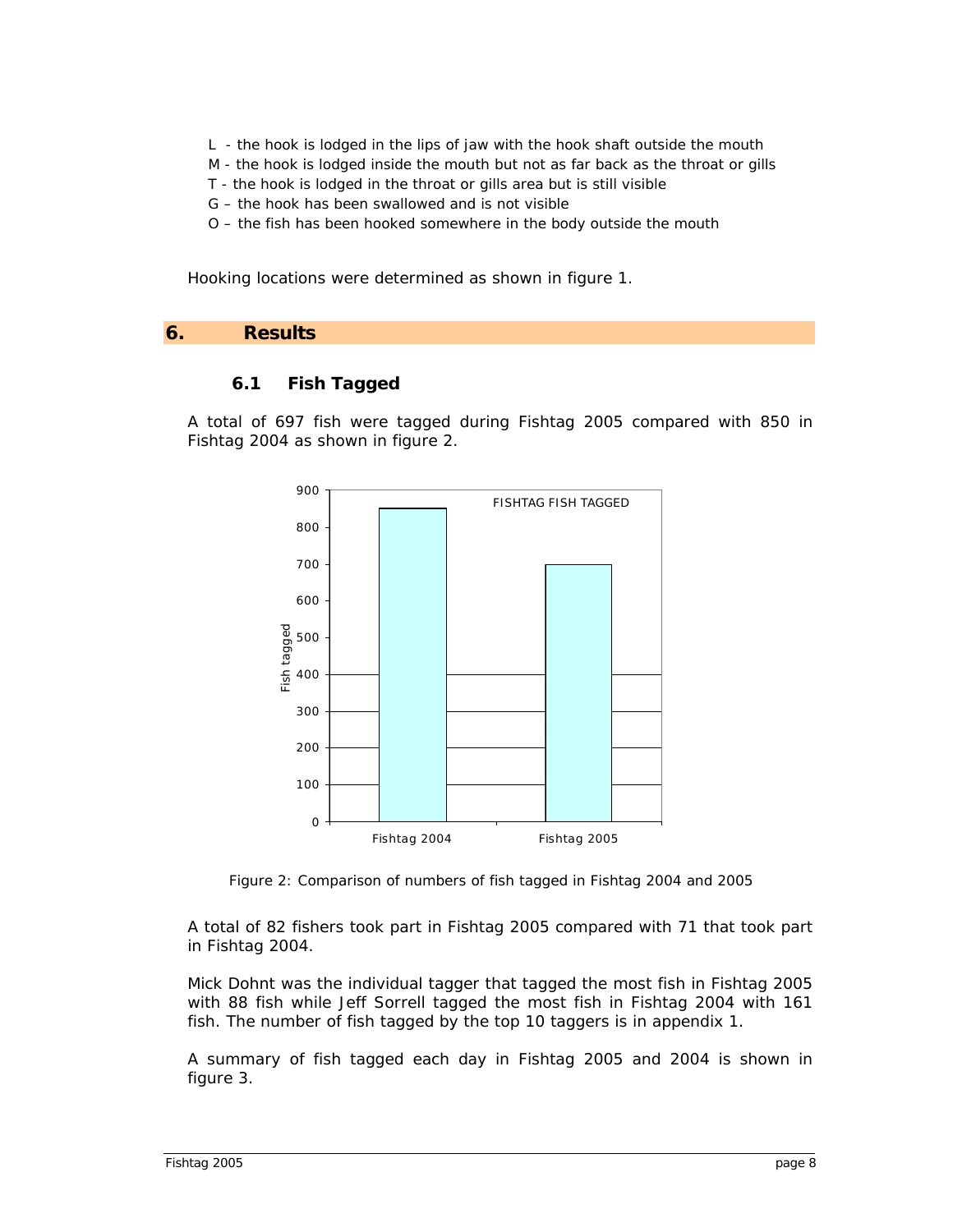- <span id="page-7-0"></span>L - the hook is lodged in the lips of jaw with the hook shaft outside the mouth
- M the hook is lodged inside the mouth but not as far back as the throat or gills
- T the hook is lodged in the throat or gills area but is still visible
- G the hook has been swallowed and is not visible
- O the fish has been hooked somewhere in the body outside the mouth

Hooking locations were determined as shown in *figure 1*.

#### **6. Results**

#### **6.1 Fish Tagged**

A total of 697 fish were tagged during Fishtag 2005 compared with 850 in Fishtag 2004 as shown in *figure 2*.



Figure 2: Comparison of numbers of fish tagged in Fishtag 2004 and 2005

A total of 82 fishers took part in Fishtag 2005 compared with 71 that took part in Fishtag 2004.

Mick Dohnt was the individual tagger that tagged the most fish in Fishtag 2005 with 88 fish while Jeff Sorrell tagged the most fish in Fishtag 2004 with 161 fish. The number of fish tagged by the top 10 taggers is in *appendix 1*.

A summary of fish tagged each day in Fishtag 2005 and 2004 is shown in *figure 3*.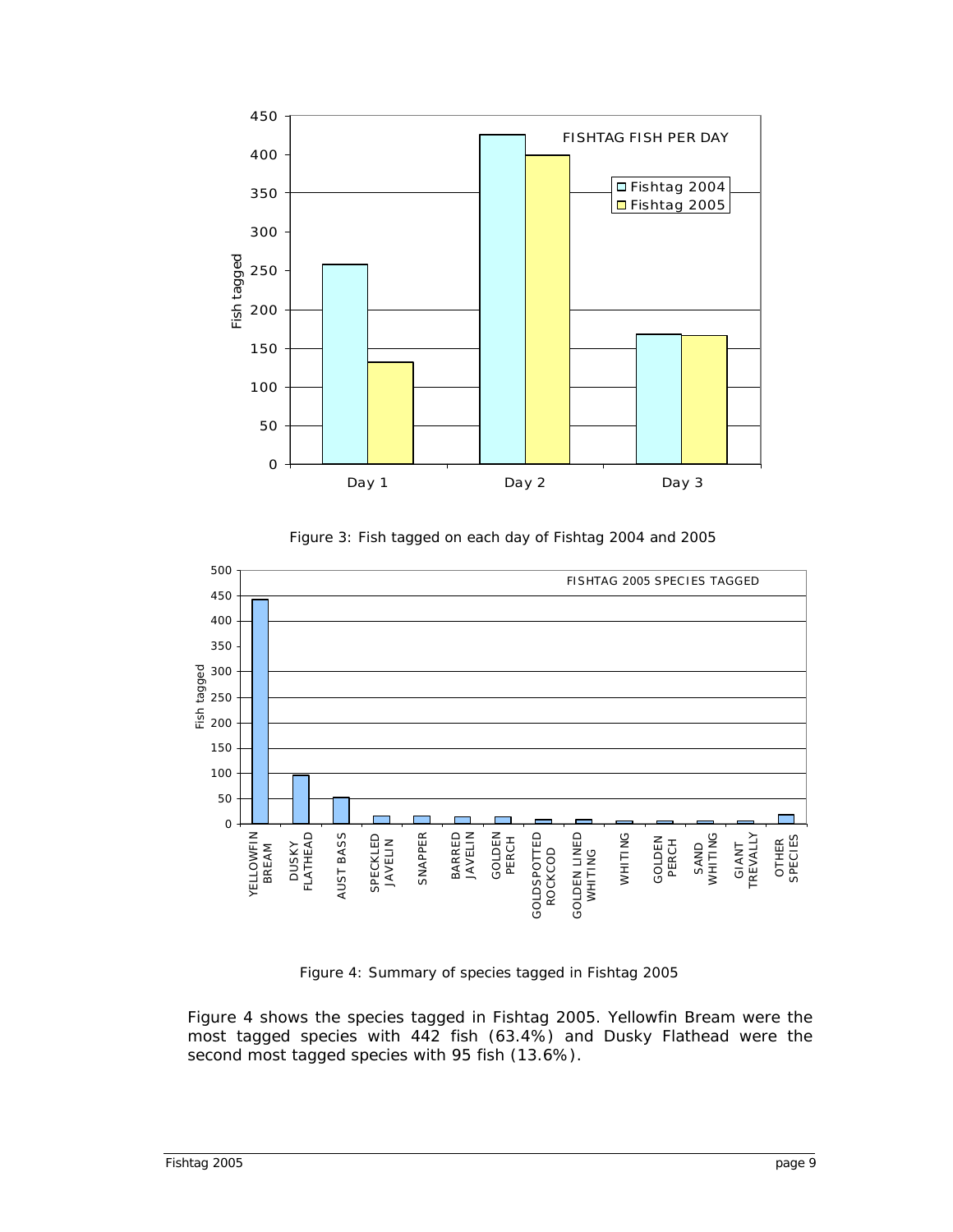<span id="page-8-0"></span>

Figure 3: Fish tagged on each day of Fishtag 2004 and 2005



Figure 4: Summary of species tagged in Fishtag 2005

*Figure 4* shows the species tagged in Fishtag 2005. Yellowfin Bream were the most tagged species with 442 fish (63.4%) and Dusky Flathead were the second most tagged species with 95 fish (13.6%).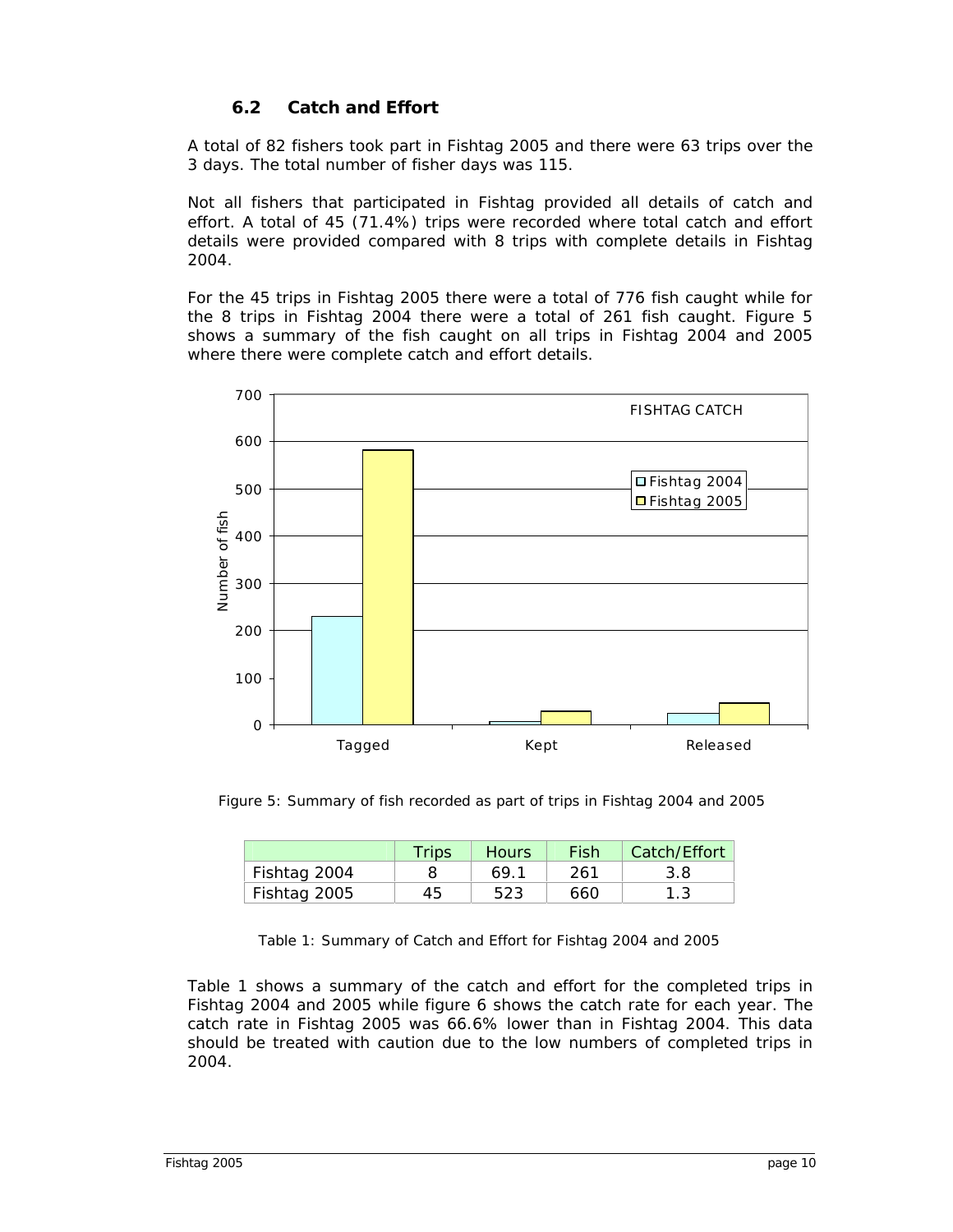#### **6.2 Catch and Effort**

<span id="page-9-0"></span>A total of 82 fishers took part in Fishtag 2005 and there were 63 trips over the 3 days. The total number of fisher days was 115.

Not all fishers that participated in Fishtag provided all details of catch and effort. A total of 45 (71.4%) trips were recorded where total catch and effort details were provided compared with 8 trips with complete details in Fishtag 2004.

For the 45 trips in Fishtag 2005 there were a total of 776 fish caught while for the 8 trips in Fishtag 2004 there were a total of 261 fish caught. *Figure 5* shows a summary of the fish caught on all trips in Fishtag 2004 and 2005 where there were complete catch and effort details.



Figure 5: Summary of fish recorded as part of trips in Fishtag 2004 and 2005

|              | Trips | Hours | Fish | Catch/Effort |
|--------------|-------|-------|------|--------------|
| Fishtag 2004 |       | 69.1  | 261  | 3.8          |
| Fishtag 2005 | 45    | 523   | 660  |              |

Table 1: Summary of Catch and Effort for Fishtag 2004 and 2005

*Table 1* shows a summary of the catch and effort for the completed trips in Fishtag 2004 and 2005 while *figure 6* shows the catch rate for each year. The catch rate in Fishtag 2005 was 66.6% lower than in Fishtag 2004. This data should be treated with caution due to the low numbers of completed trips in 2004.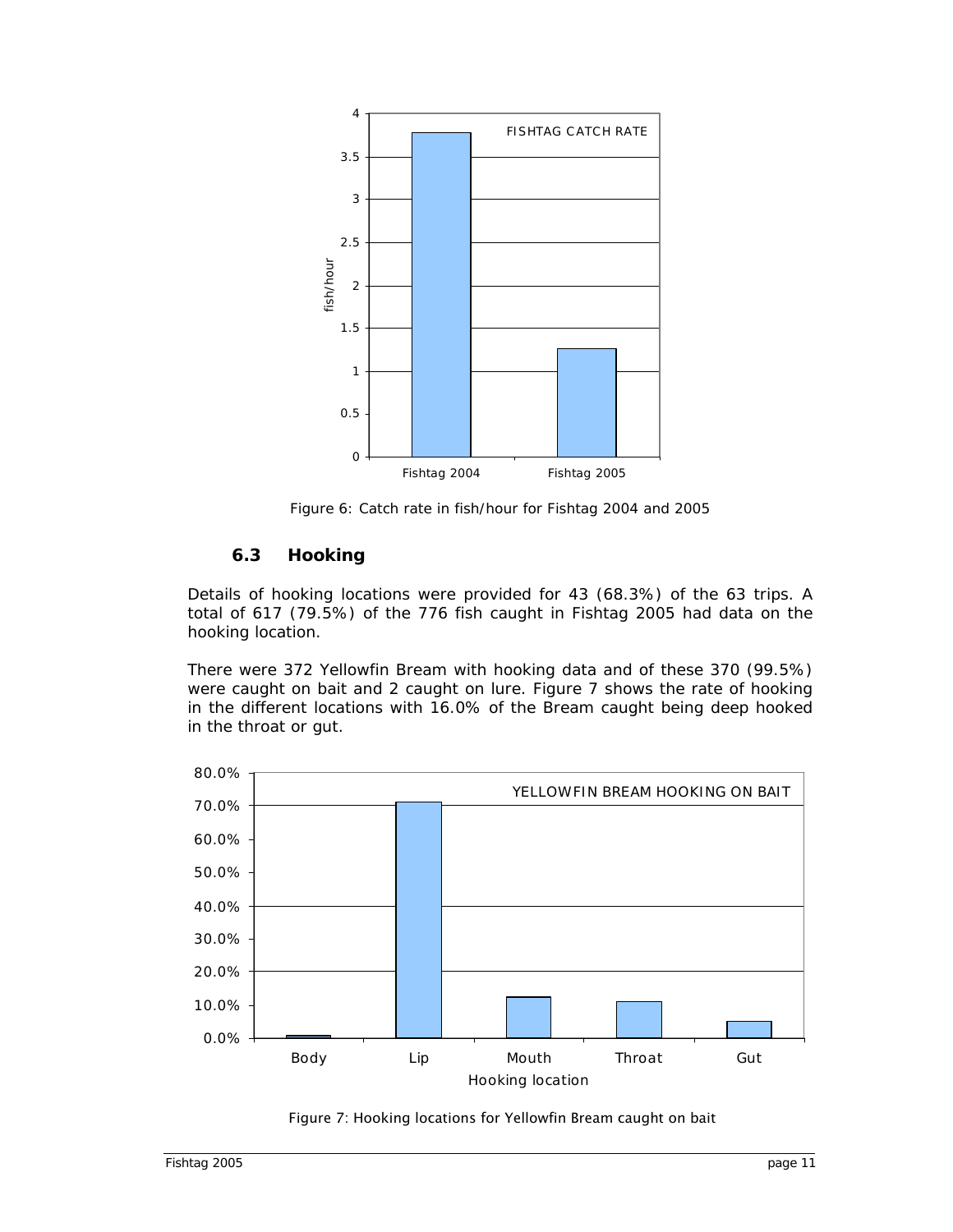<span id="page-10-0"></span>

Figure 6: Catch rate in fish/hour for Fishtag 2004 and 2005

#### **6.3 Hooking**

Details of hooking locations were provided for 43 (68.3%) of the 63 trips. A total of 617 (79.5%) of the 776 fish caught in Fishtag 2005 had data on the hooking location.

There were 372 Yellowfin Bream with hooking data and of these 370 (99.5%) were caught on bait and 2 caught on lure. *Figure 7* shows the rate of hooking in the different locations with 16.0% of the Bream caught being deep hooked in the throat or gut.



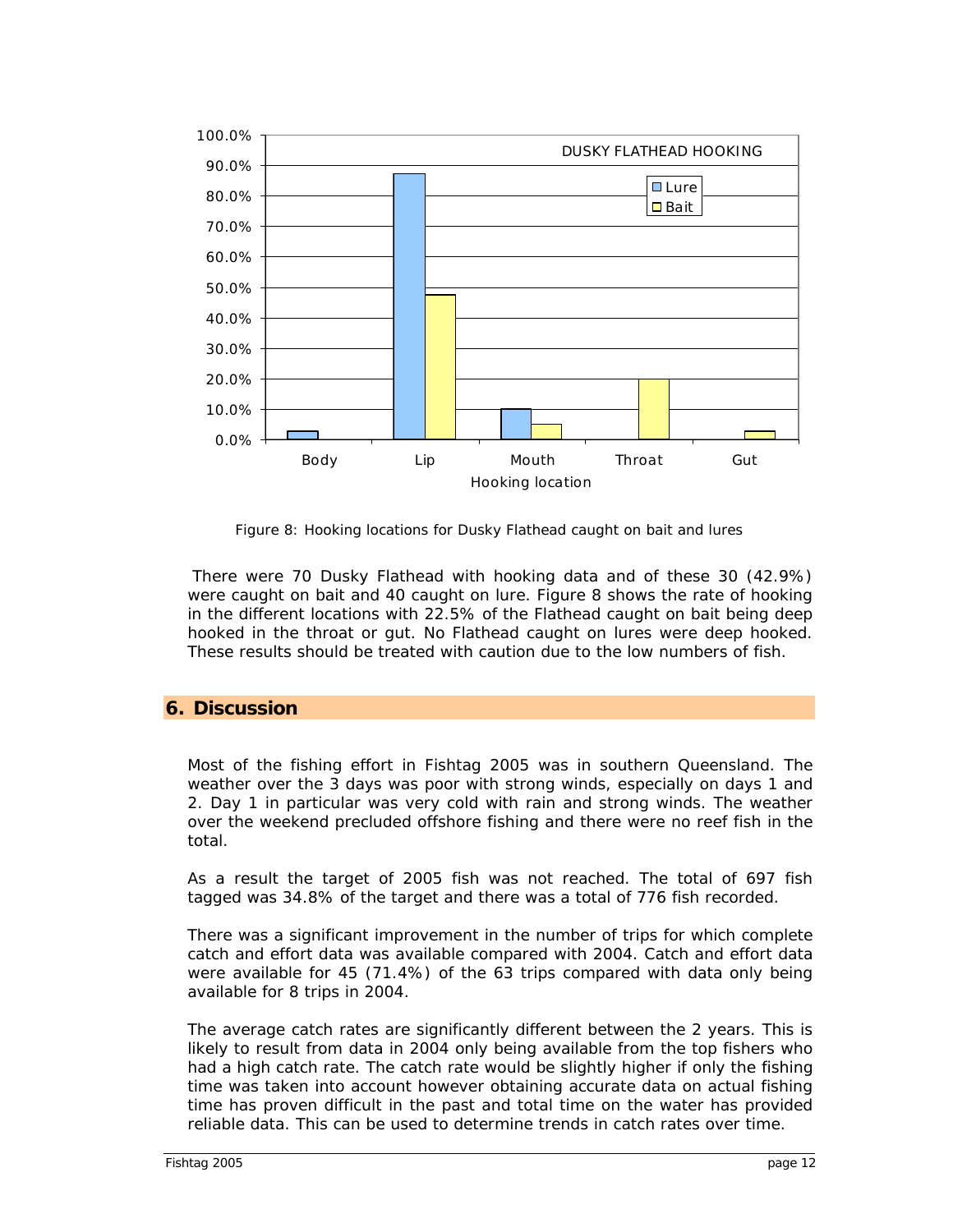<span id="page-11-0"></span>

Figure 8: Hooking locations for Dusky Flathead caught on bait and lures

There were 70 Dusky Flathead with hooking data and of these 30 (42.9%) were caught on bait and 40 caught on lure. *Figure 8* shows the rate of hooking in the different locations with 22.5% of the Flathead caught on bait being deep hooked in the throat or gut. No Flathead caught on lures were deep hooked. These results should be treated with caution due to the low numbers of fish.

#### **6. Discussion**

Most of the fishing effort in Fishtag 2005 was in southern Queensland. The weather over the 3 days was poor with strong winds, especially on days 1 and 2. Day 1 in particular was very cold with rain and strong winds. The weather over the weekend precluded offshore fishing and there were no reef fish in the total.

As a result the target of 2005 fish was not reached. The total of 697 fish tagged was 34.8% of the target and there was a total of 776 fish recorded.

There was a significant improvement in the number of trips for which complete catch and effort data was available compared with 2004. Catch and effort data were available for 45 (71.4%) of the 63 trips compared with data only being available for 8 trips in 2004.

The average catch rates are significantly different between the 2 years. This is likely to result from data in 2004 only being available from the top fishers who had a high catch rate. The catch rate would be slightly higher if only the fishing time was taken into account however obtaining accurate data on actual fishing time has proven difficult in the past and total time on the water has provided reliable data. This can be used to determine trends in catch rates over time.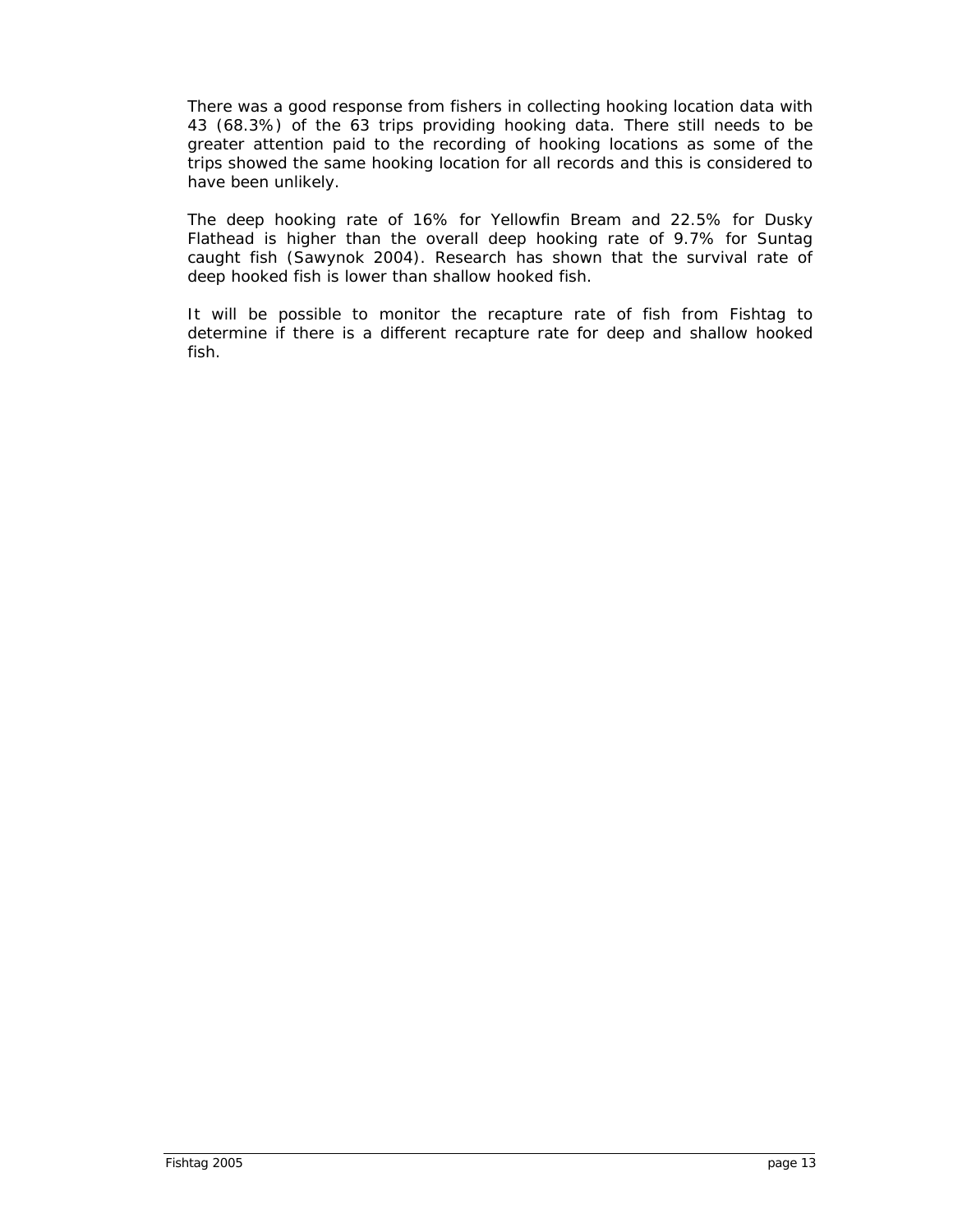There was a good response from fishers in collecting hooking location data with 43 (68.3%) of the 63 trips providing hooking data. There still needs to be greater attention paid to the recording of hooking locations as some of the trips showed the same hooking location for all records and this is considered to have been unlikely.

The deep hooking rate of 16% for Yellowfin Bream and 22.5% for Dusky Flathead is higher than the overall deep hooking rate of 9.7% for Suntag caught fish (Sawynok 2004). Research has shown that the survival rate of deep hooked fish is lower than shallow hooked fish.

It will be possible to monitor the recapture rate of fish from Fishtag to determine if there is a different recapture rate for deep and shallow hooked fish.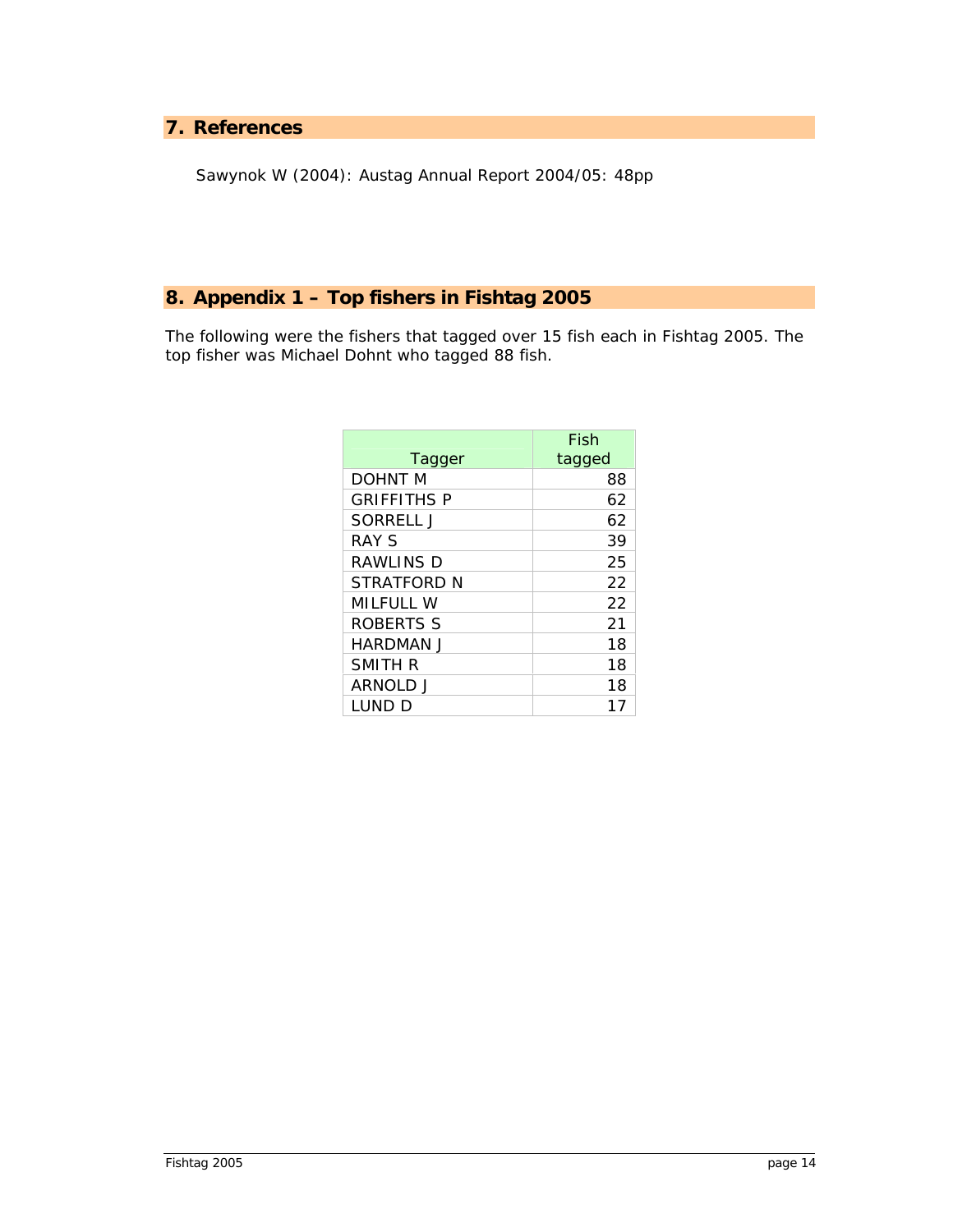#### <span id="page-13-0"></span>**7. References**

Sawynok W (2004): Austag Annual Report 2004/05: 48pp

### **8. Appendix 1 – Top fishers in Fishtag 2005**

The following were the fishers that tagged over 15 fish each in Fishtag 2005. The top fisher was Michael Dohnt who tagged 88 fish.

| Tagger             | Fish<br>tagged |
|--------------------|----------------|
| DOHNT M            | 88             |
| <b>GRIFFITHS P</b> | 62             |
| SORRELL J          | 62             |
| RAY S              | 39             |
| RAWLINS D          | 25             |
| STRATFORD N        | 22             |
| MILFULL W          | 22             |
| ROBERTS S          | 21             |
| HARDMAN J          | 18             |
| SMITH R            | 18             |
| ARNOLD J           | 18             |
| i und d            | 17             |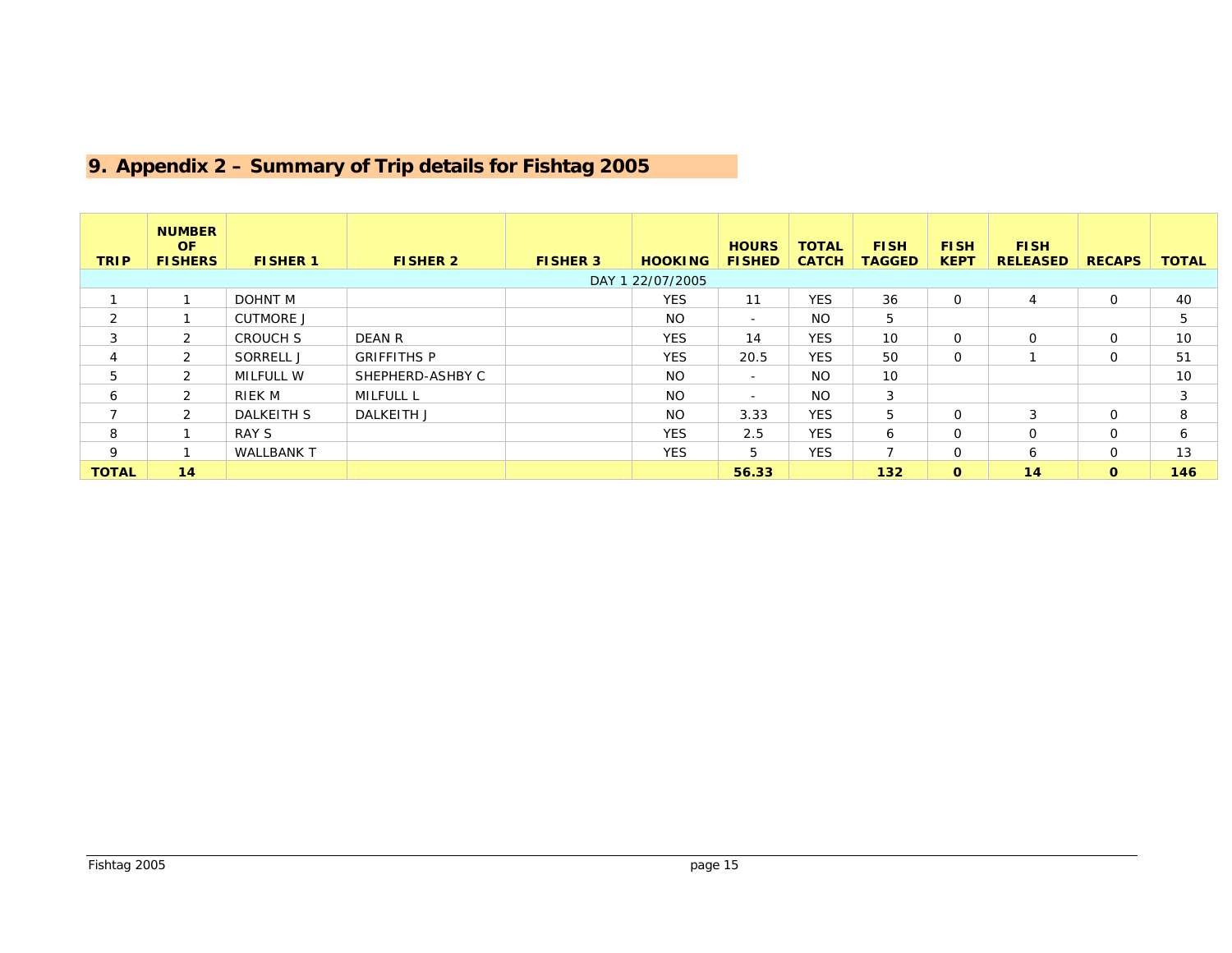#### **9. Appendix 2 – Summary of Trip details for Fishtag 2005**

<span id="page-14-0"></span>

|                          | <b>NUMBER</b>  |                   |                    |                 |                |               |              |               |              |                 |               |              |
|--------------------------|----------------|-------------------|--------------------|-----------------|----------------|---------------|--------------|---------------|--------------|-----------------|---------------|--------------|
|                          | OF.            |                   |                    |                 |                | <b>HOURS</b>  | <b>TOTAL</b> | <b>FISH</b>   | <b>FISH</b>  | <b>FISH</b>     |               |              |
| <b>TRIP</b>              | <b>FISHERS</b> | <b>FISHER 1</b>   | <b>FISHER 2</b>    | <b>FISHER 3</b> | <b>HOOKING</b> | <b>FISHED</b> | <b>CATCH</b> | <b>TAGGED</b> | <b>KEPT</b>  | <b>RELEASED</b> | <b>RECAPS</b> | <b>TOTAL</b> |
| DAY 1 22/07/2005         |                |                   |                    |                 |                |               |              |               |              |                 |               |              |
|                          |                | DOHNT M           |                    |                 | <b>YES</b>     | 11            | <b>YES</b>   | 36            | $\Omega$     | $\overline{4}$  | $\Omega$      | 40           |
| $\overline{2}$           |                | <b>CUTMORE J</b>  |                    |                 | NO.            | $\sim$        | NO.          | 5             |              |                 |               | 5            |
| 3                        | 2              | <b>CROUCH S</b>   | DEAN R             |                 | <b>YES</b>     | 14            | <b>YES</b>   | 10            | $\Omega$     | $\Omega$        | 0             | 10           |
|                          | $\mathcal{P}$  | SORRELL J         | <b>GRIFFITHS P</b> |                 | <b>YES</b>     | 20.5          | <b>YES</b>   | 50            | $\Omega$     |                 | $\Omega$      | 51           |
| 5                        | 2              | MILFULL W         | SHEPHERD-ASHBY C   |                 | <b>NO</b>      | $\sim$        | <b>NO</b>    | 10            |              |                 |               | 10           |
| 6                        | 2              | RIEK M            | MILFULL L          |                 | <b>NO</b>      | $\sim$        | NO.          | 3             |              |                 |               | 3            |
| $\overline{\phantom{a}}$ | $\mathcal{L}$  | <b>DALKEITH S</b> | DALKEITH J         |                 | <b>NO</b>      | 3.33          | <b>YES</b>   | 5             | $\Omega$     | 3               | $\Omega$      | 8            |
| 8                        |                | RAY S             |                    |                 | <b>YES</b>     | 2.5           | <b>YES</b>   | 6             | $\Omega$     | $\Omega$        | $\Omega$      | 6            |
| 9                        |                | <b>WALLBANK T</b> |                    |                 | <b>YES</b>     | 5             | <b>YES</b>   |               | $\Omega$     | 6               | 0             | 13           |
| <b>TOTAL</b>             | 14             |                   |                    |                 |                | 56.33         |              | $132$         | $\mathbf{o}$ | 14              | $\mathbf{o}$  | 146          |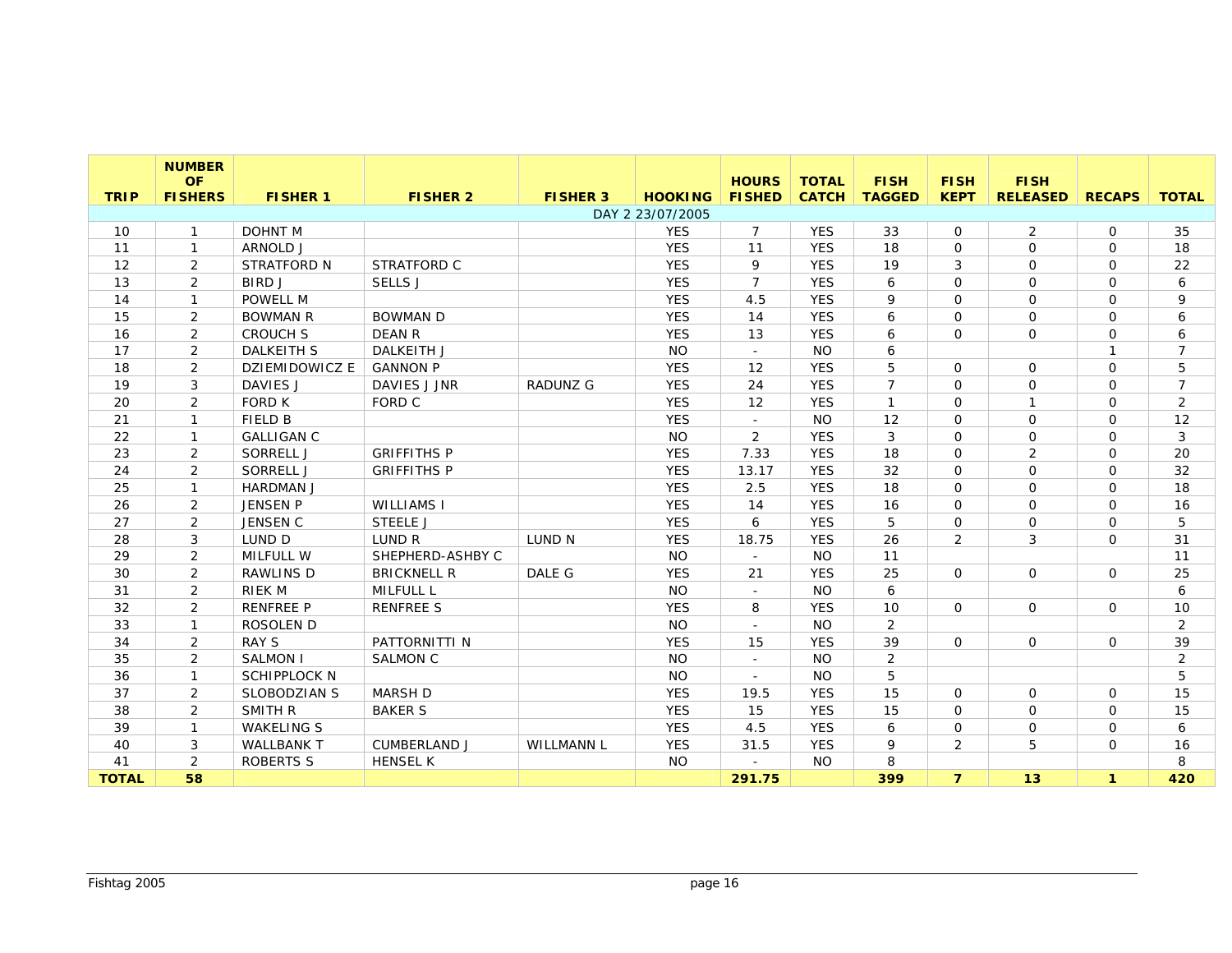|              | <b>NUMBER</b><br><b>OF</b> |                       |                     |                 |                                    | <b>HOURS</b>   | <b>TOTAL</b> | <b>FISH</b>    | <b>FISH</b>    | <b>FISH</b>     |               |                |
|--------------|----------------------------|-----------------------|---------------------|-----------------|------------------------------------|----------------|--------------|----------------|----------------|-----------------|---------------|----------------|
| <b>TRIP</b>  | <b>FISHERS</b>             | <b>FISHER 1</b>       | <b>FISHER 2</b>     | <b>FISHER 3</b> | <b>HOOKING</b><br>DAY 2 23/07/2005 | <b>FISHED</b>  | <b>CATCH</b> | <b>TAGGED</b>  | <b>KEPT</b>    | <b>RELEASED</b> | <b>RECAPS</b> | <b>TOTAL</b>   |
| 10           | $\mathbf{1}$               | <b>DOHNT M</b>        |                     |                 | <b>YES</b>                         | $\overline{7}$ | <b>YES</b>   | 33             | $\mathbf 0$    | 2               | 0             | 35             |
| 11           | $\mathbf{1}$               | ARNOLD J              |                     |                 | <b>YES</b>                         | 11             | <b>YES</b>   | 18             | $\Omega$       | $\Omega$        | $\Omega$      | 18             |
| 12           | 2                          | <b>STRATFORD N</b>    | STRATFORD C         |                 | <b>YES</b>                         | 9              | <b>YES</b>   | 19             | 3              | $\Omega$        | $\mathsf{O}$  | 22             |
| 13           | 2                          | <b>BIRDJ</b>          | SELLS J             |                 | <b>YES</b>                         | $\overline{7}$ | <b>YES</b>   | 6              | $\Omega$       | $\Omega$        | $\mathsf{O}$  | 6              |
| 14           | $\mathbf{1}$               | POWELL M              |                     |                 | <b>YES</b>                         | 4.5            | <b>YES</b>   | 9              | $\Omega$       | $\Omega$        | 0             | 9              |
| 15           | 2                          | <b>BOWMAN R</b>       | <b>BOWMAN D</b>     |                 | <b>YES</b>                         | 14             | <b>YES</b>   | 6              | $\mathbf 0$    | $\mathbf 0$     | $\mathbf{O}$  | 6              |
| 16           | 2                          | <b>CROUCH S</b>       | <b>DEAN R</b>       |                 | <b>YES</b>                         | 13             | <b>YES</b>   | 6              | $\Omega$       | $\Omega$        | 0             | 6              |
| 17           | 2                          | <b>DALKEITH S</b>     | <b>DALKEITH J</b>   |                 | <b>NO</b>                          | $\sim$         | <b>NO</b>    | 6              |                |                 | $\mathbf{1}$  | $\overline{7}$ |
| 18           | 2                          | <b>DZIEMIDOWICZ E</b> | <b>GANNON P</b>     |                 | <b>YES</b>                         | 12             | <b>YES</b>   | 5              | $\Omega$       | $\Omega$        | 0             | 5              |
| 19           | 3                          | DAVIES J              | DAVIES J JNR        | <b>RADUNZ G</b> | <b>YES</b>                         | 24             | <b>YES</b>   | $\overline{7}$ | $\Omega$       | $\Omega$        | 0             | $\overline{7}$ |
| 20           | 2                          | <b>FORD K</b>         | FORD C              |                 | <b>YES</b>                         | 12             | <b>YES</b>   | $\mathbf{1}$   | $\Omega$       | $\mathbf{1}$    | 0             | 2              |
| 21           | $\mathbf{1}$               | <b>FIELD B</b>        |                     |                 | <b>YES</b>                         | $\sim$         | <b>NO</b>    | 12             | $\Omega$       | $\Omega$        | 0             | 12             |
| 22           | $\mathbf{1}$               | <b>GALLIGAN C</b>     |                     |                 | <b>NO</b>                          | 2              | <b>YES</b>   | 3              | $\mathbf 0$    | $\mathbf 0$     | 0             | $\mathfrak{Z}$ |
| 23           | 2                          | SORRELL J             | <b>GRIFFITHS P</b>  |                 | <b>YES</b>                         | 7.33           | <b>YES</b>   | 18             | $\mathbf 0$    | 2               | $\mathbf{O}$  | 20             |
| 24           | 2                          | SORRELL J             | <b>GRIFFITHS P</b>  |                 | <b>YES</b>                         | 13.17          | <b>YES</b>   | 32             | $\mathbf 0$    | $\Omega$        | 0             | 32             |
| 25           | $\mathbf{1}$               | <b>HARDMAN J</b>      |                     |                 | <b>YES</b>                         | 2.5            | <b>YES</b>   | 18             | $\Omega$       | $\Omega$        | 0             | 18             |
| 26           | 2                          | <b>JENSEN P</b>       | <b>WILLIAMS I</b>   |                 | <b>YES</b>                         | 14             | <b>YES</b>   | 16             | $\Omega$       | $\Omega$        | $\mathbf{O}$  | 16             |
| 27           | 2                          | JENSEN C              | <b>STEELE J</b>     |                 | <b>YES</b>                         | 6              | <b>YES</b>   | 5              | 0              | $\Omega$        | 0             | 5              |
| 28           | $\mathbf{3}$               | LUND D                | LUND R              | LUND N          | <b>YES</b>                         | 18.75          | <b>YES</b>   | 26             | 2              | 3               | $\mathbf{O}$  | 31             |
| 29           | 2                          | <b>MILFULL W</b>      | SHEPHERD-ASHBY C    |                 | <b>NO</b>                          | $\mathbb{Z}^2$ | <b>NO</b>    | 11             |                |                 |               | 11             |
| 30           | $\overline{2}$             | <b>RAWLINS D</b>      | <b>BRICKNELL R</b>  | DALE G          | <b>YES</b>                         | 21             | <b>YES</b>   | 25             | 0              | $\Omega$        | 0             | 25             |
| 31           | 2                          | <b>RIEK M</b>         | <b>MILFULL L</b>    |                 | <b>NO</b>                          |                | <b>NO</b>    | 6              |                |                 |               | 6              |
| 32           | 2                          | <b>RENFREE P</b>      | <b>RENFREE S</b>    |                 | <b>YES</b>                         | 8              | <b>YES</b>   | 10             | $\Omega$       | $\Omega$        | 0             | 10             |
| 33           | $\mathbf{1}$               | ROSOLEN D             |                     |                 | <b>NO</b>                          |                | <b>NO</b>    | $\overline{2}$ |                |                 |               | 2              |
| 34           | 2                          | <b>RAY S</b>          | PATTORNITTI N       |                 | <b>YES</b>                         | 15             | <b>YES</b>   | 39             | $\Omega$       | $\Omega$        | 0             | 39             |
| 35           | 2                          | <b>SALMON I</b>       | <b>SALMON C</b>     |                 | <b>NO</b>                          | $\omega$       | <b>NO</b>    | 2              |                |                 |               | 2              |
| 36           | $\mathbf{1}$               | <b>SCHIPPLOCK N</b>   |                     |                 | <b>NO</b>                          |                | <b>NO</b>    | 5              |                |                 |               | 5              |
| 37           | $\overline{2}$             | <b>SLOBODZIAN S</b>   | <b>MARSH D</b>      |                 | <b>YES</b>                         | 19.5           | <b>YES</b>   | 15             | $\mathbf{O}$   | $\mathbf 0$     | $\mathbf{O}$  | 15             |
| 38           | $\overline{2}$             | SMITH R               | <b>BAKER S</b>      |                 | <b>YES</b>                         | 15             | <b>YES</b>   | 15             | $\Omega$       | $\mathbf 0$     | $\mathbf{O}$  | 15             |
| 39           | $\mathbf{1}$               | <b>WAKELING S</b>     |                     |                 | <b>YES</b>                         | 4.5            | <b>YES</b>   | 6              | 0              | $\mathbf 0$     | 0             | 6              |
| 40           | 3                          | <b>WALLBANK T</b>     | <b>CUMBERLAND J</b> | WILLMANN L      | <b>YES</b>                         | 31.5           | <b>YES</b>   | 9              | $\overline{2}$ | 5               | $\mathsf{O}$  | 16             |
| 41           | 2                          | <b>ROBERTS S</b>      | <b>HENSEL K</b>     |                 | <b>NO</b>                          |                | <b>NO</b>    | 8              |                |                 |               | 8              |
| <b>TOTAL</b> | 58                         |                       |                     |                 |                                    | 291.75         |              | 399            | $\overline{7}$ | 13              | $\mathbf{1}$  | 420            |